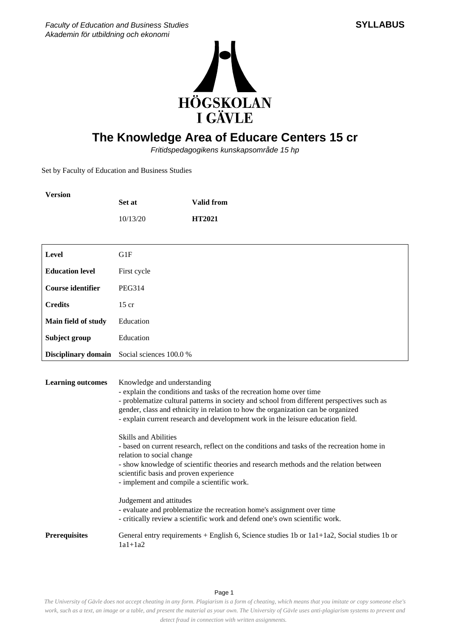



## **The Knowledge Area of Educare Centers 15 cr**

Fritidspedagogikens kunskapsområde 15 hp

Set by Faculty of Education and Business Studies

| <b>Version</b>           |                                                                                                                                                                                                            |                                                                                                                                                                                                                                                                                                                                                                                                                                                                                                                                                                                                                                                                                          |  |
|--------------------------|------------------------------------------------------------------------------------------------------------------------------------------------------------------------------------------------------------|------------------------------------------------------------------------------------------------------------------------------------------------------------------------------------------------------------------------------------------------------------------------------------------------------------------------------------------------------------------------------------------------------------------------------------------------------------------------------------------------------------------------------------------------------------------------------------------------------------------------------------------------------------------------------------------|--|
|                          | Set at                                                                                                                                                                                                     | <b>Valid from</b>                                                                                                                                                                                                                                                                                                                                                                                                                                                                                                                                                                                                                                                                        |  |
|                          | 10/13/20                                                                                                                                                                                                   | HT2021                                                                                                                                                                                                                                                                                                                                                                                                                                                                                                                                                                                                                                                                                   |  |
|                          |                                                                                                                                                                                                            |                                                                                                                                                                                                                                                                                                                                                                                                                                                                                                                                                                                                                                                                                          |  |
| <b>Level</b>             | G1F                                                                                                                                                                                                        |                                                                                                                                                                                                                                                                                                                                                                                                                                                                                                                                                                                                                                                                                          |  |
| <b>Education level</b>   | First cycle                                                                                                                                                                                                |                                                                                                                                                                                                                                                                                                                                                                                                                                                                                                                                                                                                                                                                                          |  |
| <b>Course identifier</b> | <b>PEG314</b>                                                                                                                                                                                              |                                                                                                                                                                                                                                                                                                                                                                                                                                                                                                                                                                                                                                                                                          |  |
| <b>Credits</b>           | $15$ cr                                                                                                                                                                                                    |                                                                                                                                                                                                                                                                                                                                                                                                                                                                                                                                                                                                                                                                                          |  |
| Main field of study      | Education                                                                                                                                                                                                  |                                                                                                                                                                                                                                                                                                                                                                                                                                                                                                                                                                                                                                                                                          |  |
| Subject group            | Education                                                                                                                                                                                                  |                                                                                                                                                                                                                                                                                                                                                                                                                                                                                                                                                                                                                                                                                          |  |
| Disciplinary domain      | Social sciences 100.0 %                                                                                                                                                                                    |                                                                                                                                                                                                                                                                                                                                                                                                                                                                                                                                                                                                                                                                                          |  |
| <b>Learning outcomes</b> | Knowledge and understanding<br><b>Skills and Abilities</b><br>relation to social change<br>scientific basis and proven experience<br>- implement and compile a scientific work.<br>Judgement and attitudes | - explain the conditions and tasks of the recreation home over time<br>- problematize cultural patterns in society and school from different perspectives such as<br>gender, class and ethnicity in relation to how the organization can be organized<br>- explain current research and development work in the leisure education field.<br>- based on current research, reflect on the conditions and tasks of the recreation home in<br>- show knowledge of scientific theories and research methods and the relation between<br>- evaluate and problematize the recreation home's assignment over time<br>- critically review a scientific work and defend one's own scientific work. |  |
| <b>Prerequisites</b>     | $1a1+1a2$                                                                                                                                                                                                  | General entry requirements + English 6, Science studies 1b or 1a1+1a2, Social studies 1b or                                                                                                                                                                                                                                                                                                                                                                                                                                                                                                                                                                                              |  |

Page 1

*The University of Gävle does not accept cheating in any form. Plagiarism is a form of cheating, which means that you imitate or copy someone else's work, such as a text, an image or a table, and present the material as your own. The University of Gävle uses anti-plagiarism systems to prevent and detect fraud in connection with written assignments.*